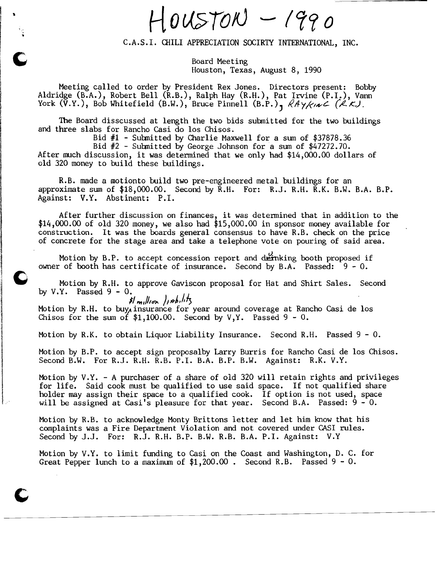$HousTON - 1990$ 

C.A.S.I. CHILI APPRECIATION SOCIRTY INTERNATIONAL, INC.

Board Meeting Houston, Texas, August 8, 1990

Meeting called to order by President Rex Jones. Directors present: Bobby Aldridge (B.A.), Robert Bell (R.B.), Ralph Hay (R.H.), Pat Irvine (P.I.), Vann York  $(\tilde{V}.Y.)$ , Bob Whitefield (B.W.), Bruce Pinnell  $(B.\tilde{P.})$ ,  $\beta A \gamma / \gamma \sim$  ( $\beta K$ .).

The Board disscussed at length the two bids submitted for the two buildings and three slabs for Rancho Casi do los Chisos.

Bid #1 - Submitted by Charlie Maxwell for a sum of \$37878.36

Bid #2 - Submitted by George Johnson for a sum of \$47272.70. After much discussion, it was determined that we only had \$14,000.00 dollars of old 320 money to build these buildings.

R.B. made a motionto build two pre-engineered metal buildings for an approximate sum of \$18,000.00. Second by R.H. For: R.J. R.H. R.K. B.W. B.A. B.P. Against: V.Y. Abstinent: P.I.

After further discussion on finances, it was determined that in addition to the  $$14,000.00$  of old 320 money, we also had  $$15,000.00$  in sponsor money available for construction. It was the boards general consensus to have R.B. check on the price of concrete for the stage area and take a telephone vote on pouring of said area.

Motion by B.P. to accept concession report and deinking booth proposed if owner of booth has certificate of insurance. Second by B.A. Passed: 9 - O.

Motion by R.H. to approve Gaviscon proposal for Hat and Shirt Sales. Second by  $V.Y.$  Passed  $9 - 0.$ 

*II ,,",II/en..* ), *tfJIJ"III)*  Motion by R.H. to buy, insurance for year around coverage at Rancho Casi de los Chisos for the sum of  $$1,100.00$ . Second by V, Y. Passed 9 - 0.

Motion by R.K. to obtain Liquor Liability Insurance. Second R.H. Passed 9 - 0.

Motion by B.P. to accept sign proposalby Larry Burris for Rancho Casi de los Chisos. Second B.W. For R.J. R.H. R.B. P.I. B.A. B.P. B.W. Against: R.K. V.Y.

Motion by V.Y. - A purchaser of a share of old 320 will retain rights and privileges for life. Said cook must be qualified to use said space. If not qualified share holder may assign their space to a qualified cook. If option is not used, space will be assigned at Casi's pleasure for that year. Second B.A. Passed: 9 - 0.

Motion by R.B. to acknowledge Monty Brittons letter and let him know that his complaints was a Fire Department Violation and not covered under CASI rules. Second by J.J. For: R.J. R.H. B.P. B.W. R.B. B.A. P.I. Against: V.Y

Motion by V.Y. to limit funding to Casi on the Coast and Washington, D. C. for Great Pepper lunch to a maximum of  $$1,200.00$ . Second R.B. Passed  $9 - 0$ .